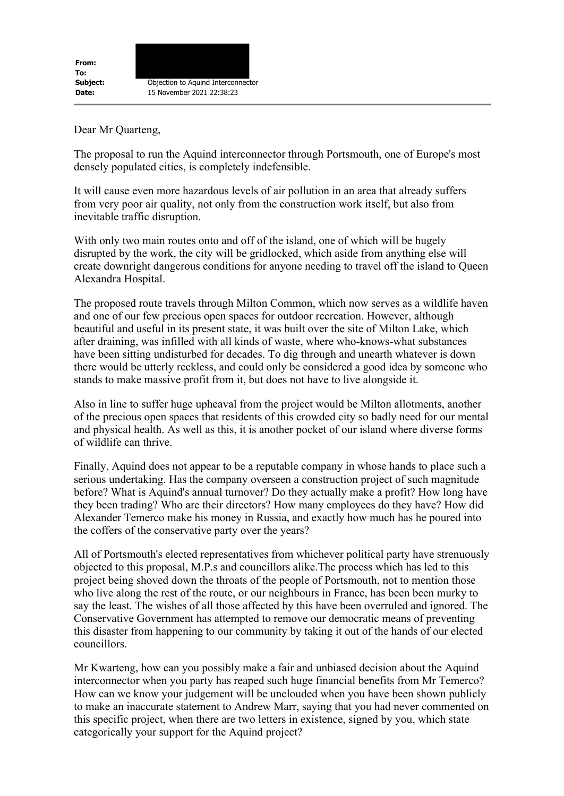Dear Mr Quarteng,

The proposal to run the Aquind interconnector through Portsmouth, one of Europe's most densely populated cities, is completely indefensible.

It will cause even more hazardous levels of air pollution in an area that already suffers from very poor air quality, not only from the construction work itself, but also from inevitable traffic disruption.

With only two main routes onto and off of the island, one of which will be hugely disrupted by the work, the city will be gridlocked, which aside from anything else will create downright dangerous conditions for anyone needing to travel off the island to Queen Alexandra Hospital.

The proposed route travels through Milton Common, which now serves as a wildlife haven and one of our few precious open spaces for outdoor recreation. However, although beautiful and useful in its present state, it was built over the site of Milton Lake, which after draining, was infilled with all kinds of waste, where who-knows-what substances have been sitting undisturbed for decades. To dig through and unearth whatever is down there would be utterly reckless, and could only be considered a good idea by someone who stands to make massive profit from it, but does not have to live alongside it.

Also in line to suffer huge upheaval from the project would be Milton allotments, another of the precious open spaces that residents of this crowded city so badly need for our mental and physical health. As well as this, it is another pocket of our island where diverse forms of wildlife can thrive.

Finally, Aquind does not appear to be a reputable company in whose hands to place such a serious undertaking. Has the company overseen a construction project of such magnitude before? What is Aquind's annual turnover? Do they actually make a profit? How long have they been trading? Who are their directors? How many employees do they have? How did Alexander Temerco make his money in Russia, and exactly how much has he poured into the coffers of the conservative party over the years?

All of Portsmouth's elected representatives from whichever political party have strenuously objected to this proposal, M.P.s and councillors alike.The process which has led to this project being shoved down the throats of the people of Portsmouth, not to mention those who live along the rest of the route, or our neighbours in France, has been been murky to say the least. The wishes of all those affected by this have been overruled and ignored. The Conservative Government has attempted to remove our democratic means of preventing this disaster from happening to our community by taking it out of the hands of our elected councillors.

Mr Kwarteng, how can you possibly make a fair and unbiased decision about the Aquind interconnector when you party has reaped such huge financial benefits from Mr Temerco? How can we know your judgement will be unclouded when you have been shown publicly to make an inaccurate statement to Andrew Marr, saying that you had never commented on this specific project, when there are two letters in existence, signed by you, which state categorically your support for the Aquind project?